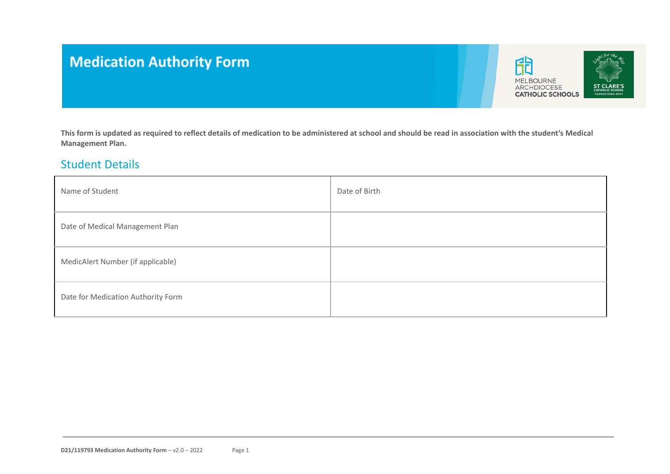# **Medication Authority Form**



**This form is updated as required to reflect details of medication to be administered at school and should be read in association with the student's Medical Management Plan.**

#### Student Details

| Name of Student                    | Date of Birth |
|------------------------------------|---------------|
| Date of Medical Management Plan    |               |
| MedicAlert Number (if applicable)  |               |
| Date for Medication Authority Form |               |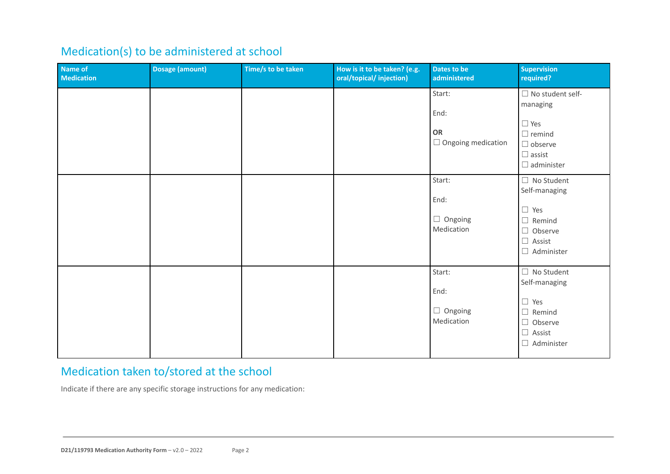## Medication(s) to be administered at school

| Name of<br><b>Medication</b> | <b>Dosage (amount)</b> | Time/s to be taken | How is it to be taken? (e.g.<br>oral/topical/injection) | Dates to be<br>administered                       | <b>Supervision</b><br>required?                                                                                            |
|------------------------------|------------------------|--------------------|---------------------------------------------------------|---------------------------------------------------|----------------------------------------------------------------------------------------------------------------------------|
|                              |                        |                    |                                                         | Start:<br>End:<br>OR<br>$\Box$ Ongoing medication | $\Box$ No student self-<br>managing<br>$\Box$ Yes<br>$\Box$ remind<br>$\Box$ observe<br>$\Box$ assist<br>$\Box$ administer |
|                              |                        |                    |                                                         | Start:<br>End:<br>$\Box$ Ongoing<br>Medication    | $\Box$ No Student<br>Self-managing<br>$\Box$ Yes<br>$\Box$ Remind<br>$\Box$ Observe<br>$\Box$ Assist<br>$\Box$ Administer  |
|                              |                        |                    |                                                         | Start:<br>End:<br>$\Box$ Ongoing<br>Medication    | $\Box$ No Student<br>Self-managing<br>$\Box$ Yes<br>$\Box$ Remind<br>$\Box$ Observe<br>$\Box$ Assist<br>$\Box$ Administer  |

## Medication taken to/stored at the school

Indicate if there are any specific storage instructions for any medication: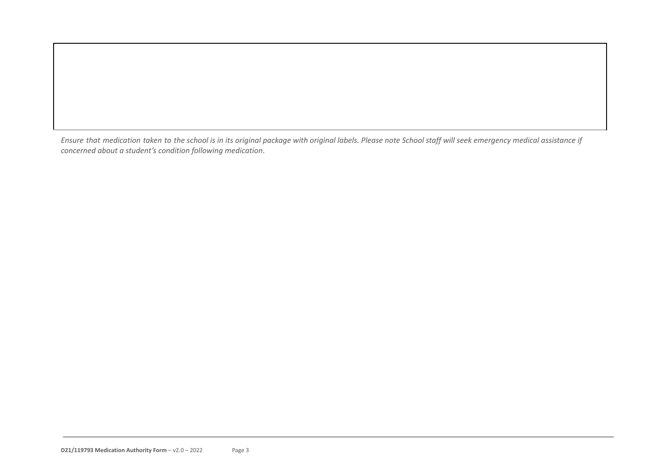Ensure that medication taken to the school is in its original package with original labels. Please note School staff will seek emergency medical assistance if *concerned about a student's condition following medication*.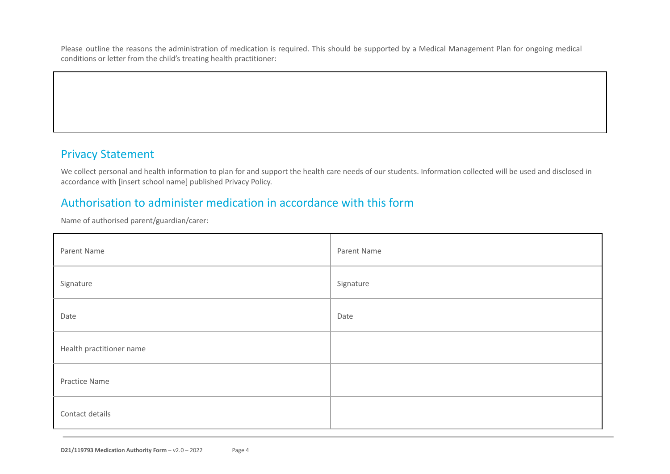Please outline the reasons the administration of medication is required. This should be supported by a Medical Management Plan for ongoing medical conditions or letter from the child's treating health practitioner:

### Privacy Statement

We collect personal and health information to plan for and support the health care needs of our students. Information collected will be used and disclosed in accordance with [insert school name] published Privacy Policy.

### Authorisation to administer medication in accordance with this form

Name of authorised parent/guardian/carer:

| Parent Name              | Parent Name |
|--------------------------|-------------|
| Signature                | Signature   |
| Date                     | Date        |
| Health practitioner name |             |
| Practice Name            |             |
| Contact details          |             |